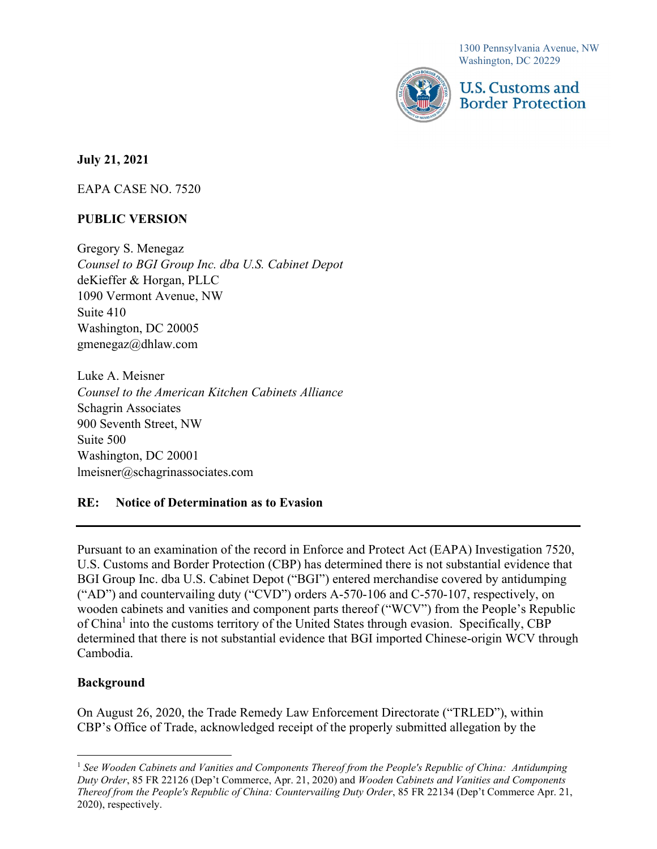1300 Pennsylvania Avenue, NW Washington, DC 20229



U.S. Customs and **Border Protection** 

July 21, 2021

EAPA CASE NO. 7520

# **PUBLIC** VERSION

Gregory S. Menegaz Counsel to BGI Group Inc. dba U.S. Cabinet Depot deKieffer & Horgan, PLLC 1090 Vermont Avenue, NW Suite 410 Washington, DC 20005 [gmenegaz@dhlaw.com](mailto:gmenegaz@dhlaw.com)

Luke A. Meisner Counsel to the American Kitchen Cabinets Alliance Schagrin Associates 900 Seventh Street, NW Suite 500 Washington, DC 20001 [lmeisner@schagrinassociates.com](mailto:lmeisner@schagrinassociates.com)

#### RE: Notice of Determination as to Evasion

 U.S. Customs and Border Protection (CBP) has determined there is not substantial evidence that wooden cabinets and vanities and component parts thereof ("WCV") from the People's Republic Pursuant to an examination of the record in Enforce and Protect Act (EAPA) Investigation 7520, BGI Group Inc. dba U.S. Cabinet Depot ("BGI") entered merchandise covered by antidumping ("AD") and countervailing duty ("CVD") orders A-570-106 and C-570-107, respectively, on of China<sup>1</sup> into the customs territory of the United States through evasion. Specifically, CBP determined that there is not substantial evidence that BGI imported Chinese-origin WCV through Cambodia.

## Background

On August 26, 2020, the Trade Remedy Law Enforcement Directorate ("TRLED"), within CBP's Office of Trade, acknowledged receipt of the properly submitted allegation by the

<sup>&</sup>lt;sup>1</sup> See Wooden Cabinets and Vanities and Components Thereof from the People's Republic of China: Antidumping Duty Order, 85 FR 22126 (Dep't Commerce, Apr. 21, 2020) and Wooden Cabinets and Vanities and Components Thereof from the People's Republic of China: Countervailing Duty Order, 85 FR 22134 (Dep't Commerce Apr. 21, 2020), respectively.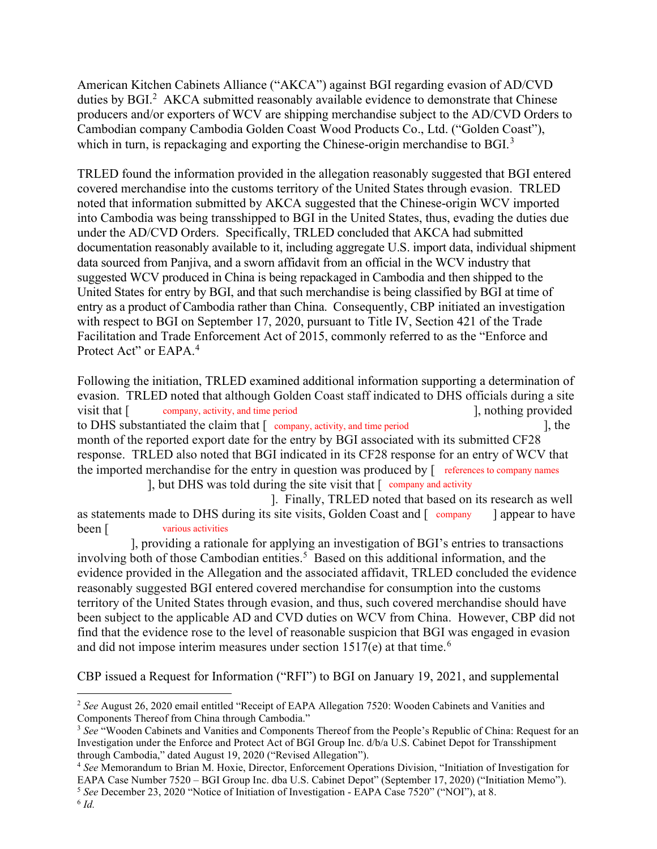duties by BGI.<sup>2</sup> AKCA submitted reasonably available evidence to demonstrate that Chinese American Kitchen Cabinets Alliance ("AKCA") against BGI regarding evasion of AD/CVD producers and/or exporters of WCV are shipping merchandise subject to the AD/CVD Orders to Cambodian company Cambodia Golden Coast Wood Products Co., Ltd. ("Golden Coast"), which in turn, is repackaging and exporting the Chinese-origin merchandise to BGI.<sup>3</sup>

 under the AD/CVD Orders. Specifically, TRLED concluded that AKCA had submitted documentation reasonably available to it, including aggregate U.S. import data, individual shipment data sourced from Panjiva, and a sworn affidavit from an official in the WCV industry that suggested WCV produced in China is being repackaged in Cambodia and then shipped to the United States for entry by BGI, and that such merchandise is being classified by BGI at time of entry as a product of Cambodia rather than China. Consequently, CBP initiated an investigation Protect Act" or EAPA.<sup>4</sup> TRLED found the information provided in the allegation reasonably suggested that BGI entered covered merchandise into the customs territory of the United States through evasion. TRLED noted that information submitted by AKCA suggested that the Chinese-origin WCV imported into Cambodia was being transshipped to BGI in the United States, thus, evading the duties due with respect to BGI on September 17, 2020, pursuant to Title IV, Section 421 of the Trade Facilitation and Trade Enforcement Act of 2015, commonly referred to as the "Enforce and

Following the initiation, TRLED examined additional information supporting a determination of evasion. TRLED noted that although Golden Coast staff indicated to DHS officials during a site visit that [  $\qquad \qquad$  company, activity, and time period [  $\qquad \qquad$  ], nothing provided to DHS substantiated the claim that  $[$  company, activity, and time period ], the month of the reported export date for the entry by BGI associated with its submitted CF28 response. TRLED also noted that BGI indicated in its CF28 response for an entry of WCV that the imported merchandise for the entry in question was produced by [ references to company names

], but DHS was told during the site visit that [ company and activity

 ]. Finally, TRLED noted that based on its research as well as statements made to DHS during its site visits, Golden Coast and [ company ] appear to have been [ various activities

 evidence provided in the Allegation and the associated affidavit, TRLED concluded the evidence territory of the United States through evasion, and thus, such covered merchandise should have and did not impose interim measures under section  $1517(e)$  at that time.<sup>6</sup> ], providing a rationale for applying an investigation of BGI's entries to transactions involving both of those Cambodian entities.<sup>5</sup> Based on this additional information, and the reasonably suggested BGI entered covered merchandise for consumption into the customs been subject to the applicable AD and CVD duties on WCV from China. However, CBP did not find that the evidence rose to the level of reasonable suspicion that BGI was engaged in evasion

CBP issued a Request for Information ("RFI") to BGI on January 19, 2021, and supplemental

 $2$  See August 26, 2020 email entitled "Receipt of EAPA Allegation 7520: Wooden Cabinets and Vanities and Components Thereof from China through Cambodia."

<sup>&</sup>lt;sup>3</sup> See "Wooden Cabinets and Vanities and Components Thereof from the People's Republic of China: Request for an Investigation under the Enforce and Protect Act of BGI Group Inc. d/b/a U.S. Cabinet Depot for Transshipment through Cambodia," dated August 19, 2020 ("Revised Allegation").

<sup>4</sup> See Memorandum to Brian M. Hoxie, Director, Enforcement Operations Division, "Initiation of Investigation for EAPA Case Number 7520 – BGI Group Inc. dba U.S. Cabinet Depot" (September 17, 2020) ("Initiation Memo").

<sup>5</sup> See December 23, 2020 "Notice of Initiation of Investigation - EAPA Case 7520" ("NOI"), at 8.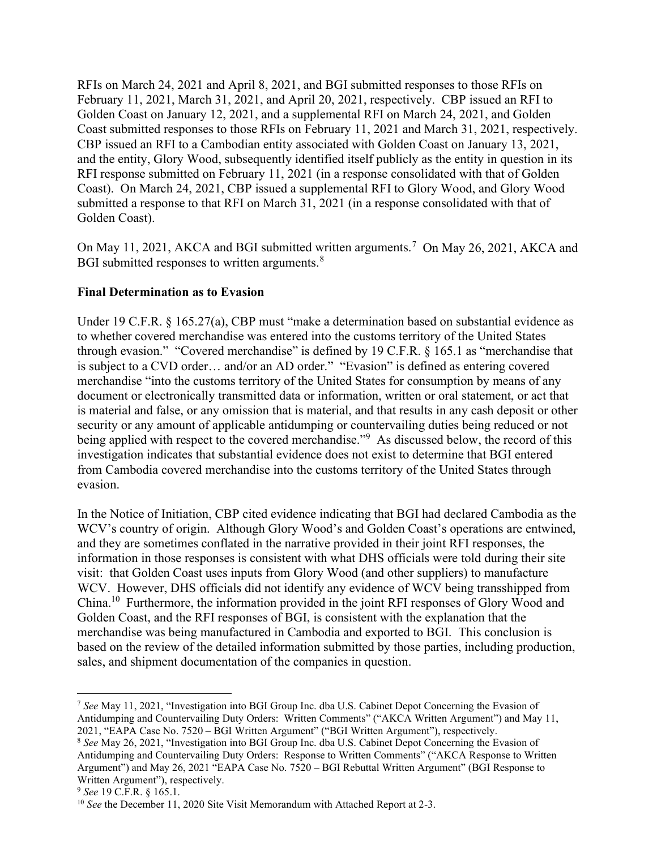RFIs on March 24, 2021 and April 8, 2021, and BGI submitted responses to those RFIs on February 11, 2021, March 31, 2021, and April 20, 2021, respectively. CBP issued an RFI to Golden Coast on January 12, 2021, and a supplemental RFI on March 24, 2021, and Golden Coast submitted responses to those RFIs on February 11, 2021 and March 31, 2021, respectively. CBP issued an RFI to a Cambodian entity associated with Golden Coast on January 13, 2021, and the entity, Glory Wood, subsequently identified itself publicly as the entity in question in its RFI response submitted on February 11, 2021 (in a response consolidated with that of Golden Coast). On March 24, 2021, CBP issued a supplemental RFI to Glory Wood, and Glory Wood submitted a response to that RFI on March 31, 2021 (in a response consolidated with that of Golden Coast).

On May 11, 2021, AKCA and BGI submitted written arguments.<sup>7</sup> On May 26, 2021, AKCA and BGI submitted responses to written arguments. $8$ 

# Final Determination as to Evasion

Under 19 C.F.R. § 165.27(a), CBP must "make a determination based on substantial evidence as to whether covered merchandise was entered into the customs territory of the United States through evasion." "Covered merchandise" is defined by 19 C.F.R. § 165.1 as "merchandise that is subject to a CVD order… and/or an AD order." "Evasion" is defined as entering covered merchandise "into the customs territory of the United States for consumption by means of any document or electronically transmitted data or information, written or oral statement, or act that is material and false, or any omission that is material, and that results in any cash deposit or other security or any amount of applicable antidumping or countervailing duties being reduced or not being applied with respect to the covered merchandise."<sup>9</sup> As discussed below, the record of this investigation indicates that substantial evidence does not exist to determine that BGI entered from Cambodia covered merchandise into the customs territory of the United States through evasion.

 In the Notice of Initiation, CBP cited evidence indicating that BGI had declared Cambodia as the WCV's country of origin. Although Glory Wood's and Golden Coast's operations are entwined, and they are sometimes conflated in the narrative provided in their joint RFI responses, the information in those responses is consistent with what DHS officials were told during their site visit: that Golden Coast uses inputs from Glory Wood (and other suppliers) to manufacture WCV. However, DHS officials did not identify any evidence of WCV being transshipped from China.<sup>10</sup> Furthermore, the information provided in the joint RFI responses of Glory Wood and Golden Coast, and the RFI responses of BGI, is consistent with the explanation that the merchandise was being manufactured in Cambodia and exported to BGI. This conclusion is based on the review of the detailed information submitted by those parties, including production, sales, and shipment documentation of the companies in question.

<sup>&</sup>lt;sup>7</sup> See May 11, 2021, "Investigation into BGI Group Inc. dba U.S. Cabinet Depot Concerning the Evasion of Antidumping and Countervailing Duty Orders: Written Comments" ("AKCA Written Argument") and May 11, 2021, "EAPA Case No. 7520 – BGI Written Argument" ("BGI Written Argument"), respectively.

<sup>&</sup>lt;sup>8</sup> See May 26, 2021, "Investigation into BGI Group Inc. dba U.S. Cabinet Depot Concerning the Evasion of Antidumping and Countervailing Duty Orders: Response to Written Comments" ("AKCA Response to Written Argument") and May 26, 2021 "EAPA Case No. 7520 – BGI Rebuttal Written Argument" (BGI Response to Written Argument"), respectively.

 $9$  See 19 C.F.R. § 165.1.

<sup>&</sup>lt;sup>10</sup> See the December 11, 2020 Site Visit Memorandum with Attached Report at 2-3.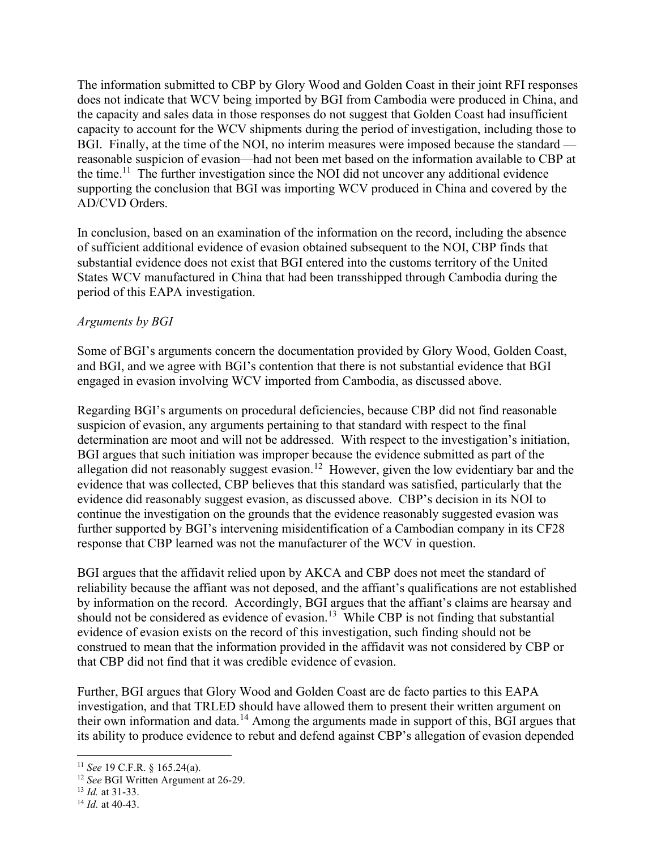The information submitted to CBP by Glory Wood and Golden Coast in their joint RFI responses does not indicate that WCV being imported by BGI from Cambodia were produced in China, and the capacity and sales data in those responses do not suggest that Golden Coast had insufficient capacity to account for the WCV shipments during the period of investigation, including those to BGI. Finally, at the time of the NOI, no interim measures were imposed because the standard — reasonable suspicion of evasion—had not been met based on the information available to CBP at the time.<sup>11</sup> The further investigation since the NOI did not uncover any additional evidence supporting the conclusion that BGI was importing WCV produced in China and covered by the AD/CVD Orders.

 In conclusion, based on an examination of the information on the record, including the absence of sufficient additional evidence of evasion obtained subsequent to the NOI, CBP finds that substantial evidence does not exist that BGI entered into the customs territory of the United States WCV manufactured in China that had been transshipped through Cambodia during the period of this EAPA investigation.

### Arguments by BGI

 Some of BGI's arguments concern the documentation provided by Glory Wood, Golden Coast, and BGI, and we agree with BGI's contention that there is not substantial evidence that BGI engaged in evasion involving WCV imported from Cambodia, as discussed above.

 Regarding BGI's arguments on procedural deficiencies, because CBP did not find reasonable suspicion of evasion, any arguments pertaining to that standard with respect to the final determination are moot and will not be addressed. With respect to the investigation's initiation, BGI argues that such initiation was improper because the evidence submitted as part of the allegation did not reasonably suggest [evasion.](https://evasion.12)<sup>12</sup> However, given the low evidentiary bar and the evidence that was collected, CBP believes that this standard was satisfied, particularly that the evidence did reasonably suggest evasion, as discussed above. CBP's decision in its NOI to continue the investigation on the grounds that the evidence reasonably suggested evasion was further supported by BGI's intervening misidentification of a Cambodian company in its CF28 response that CBP learned was not the manufacturer of the WCV in question.

 BGI argues that the affidavit relied upon by AKCA and CBP does not meet the standard of reliability because the affiant was not deposed, and the affiant's qualifications are not established by information on the record. Accordingly, BGI argues that the affiant's claims are hearsay and should not be considered as evidence of [evasion.](https://evasion.13)<sup>13</sup> While CBP is not finding that substantial evidence of evasion exists on the record of this investigation, such finding should not be construed to mean that the information provided in the affidavit was not considered by CBP or that CBP did not find that it was credible evidence of evasion.

 Further, BGI argues that Glory Wood and Golden Coast are de facto parties to this EAPA investigation, and that TRLED should have allowed them to present their written argument on their own information and data.<sup>14</sup> Among the arguments made in support of this, BGI argues that its ability to produce evidence to rebut and defend against CBP's allegation of evasion depended

 $11$  See 19 C.F.R. § 165.24(a).

<sup>&</sup>lt;sup>12</sup> See BGI Written Argument at 26-29.

 $13$  *Id.* at 31-33.

 $14$  *Id.* at 40-43.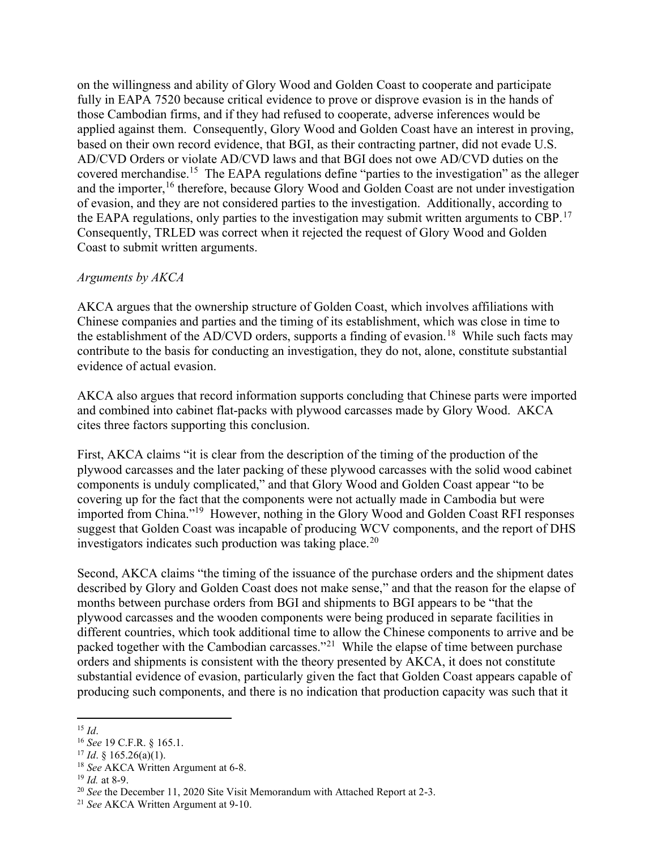on the willingness and ability of Glory Wood and Golden Coast to cooperate and participate fully in EAPA 7520 because critical evidence to prove or disprove evasion is in the hands of those Cambodian firms, and if they had refused to cooperate, adverse inferences would be applied against them. Consequently, Glory Wood and Golden Coast have an interest in proving, based on their own record evidence, that BGI, as their contracting partner, did not evade U.S. AD/CVD Orders or violate AD/CVD laws and that BGI does not owe AD/CVD duties on the covered [merchandise.](https://merchandise.15)<sup>15</sup> The EAPA regulations define "parties to the investigation" as the alleger and the importer,<sup>16</sup> therefore, because Glory Wood and Golden Coast are not under investigation of evasion, and they are not considered parties to the investigation. Additionally, according to the EAPA regulations, only parties to the investigation may submit written arguments to CBP.<sup>17</sup> Consequently, TRLED was correct when it rejected the request of Glory Wood and Golden Coast to submit written arguments.

#### Arguments by AKCA

 AKCA argues that the ownership structure of Golden Coast, which involves affiliations with Chinese companies and parties and the timing of its establishment, which was close in time to the establishment of the AD/CVD orders, supports a finding of [evasion.](https://evasion.18)<sup>18</sup> While such facts may contribute to the basis for conducting an investigation, they do not, alone, constitute substantial evidence of actual evasion.

 AKCA also argues that record information supports concluding that Chinese parts were imported and combined into cabinet flat-packs with plywood carcasses made by Glory Wood. AKCA cites three factors supporting this conclusion.

 First, AKCA claims "it is clear from the description of the timing of the production of the plywood carcasses and the later packing of these plywood carcasses with the solid wood cabinet components is unduly complicated," and that Glory Wood and Golden Coast appear "to be covering up for the fact that the components were not actually made in Cambodia but were imported from China."<sup>19</sup> However, nothing in the Glory Wood and Golden Coast RFI responses suggest that Golden Coast was incapable of producing WCV components, and the report of DHS investigators indicates such production was taking [place.](https://place.20)<sup>20</sup>

 Second, AKCA claims "the timing of the issuance of the purchase orders and the shipment dates described by Glory and Golden Coast does not make sense," and that the reason for the elapse of months between purchase orders from BGI and shipments to BGI appears to be "that the plywood carcasses and the wooden components were being produced in separate facilities in different countries, which took additional time to allow the Chinese components to arrive and be packed together with the Cambodian carcasses."<sup>21</sup> While the elapse of time between purchase orders and shipments is consistent with the theory presented by AKCA, it does not constitute substantial evidence of evasion, particularly given the fact that Golden Coast appears capable of producing such components, and there is no indication that production capacity was such that it

 $15$  *Id.* 

 $16$  See 19 C.F.R. § 165.1.

 $17$  *Id.* § 165.26(a)(1).

<sup>&</sup>lt;sup>18</sup> See AKCA Written Argument at 6-8.

 $19$  *Id.* at 8-9.

 $20$  See the December 11, 2020 Site Visit Memorandum with Attached Report at 2-3.

<sup>&</sup>lt;sup>21</sup> See AKCA Written Argument at 9-10.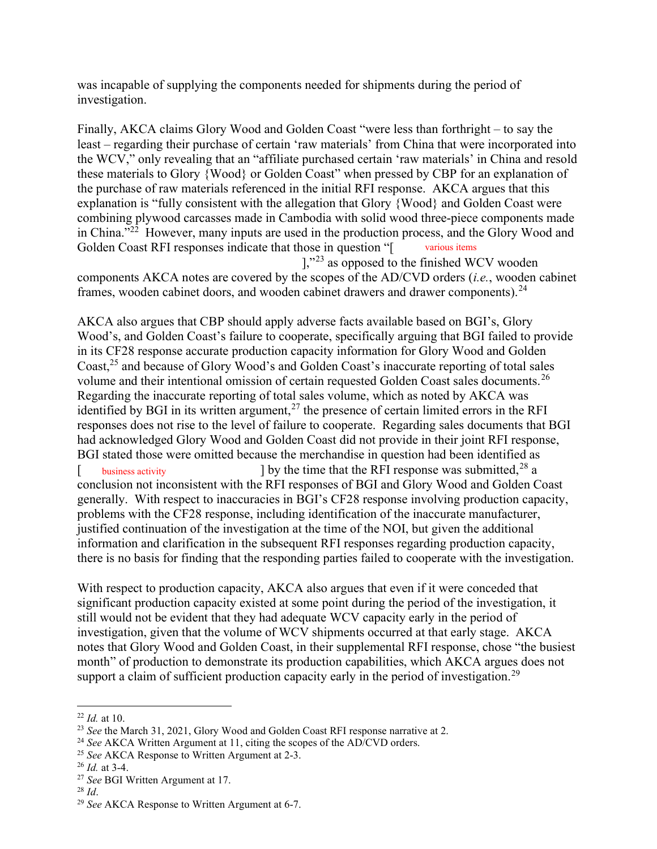was incapable of supplying the components needed for shipments during the period of investigation.

 Finally, AKCA claims Glory Wood and Golden Coast "were less than forthright – to say the Golden Coast RFI responses indicate that those in question "[ various items least – regarding their purchase of certain 'raw materials' from China that were incorporated into the WCV," only revealing that an "affiliate purchased certain 'raw materials' in China and resold these materials to Glory {Wood} or Golden Coast" when pressed by CBP for an explanation of the purchase of raw materials referenced in the initial RFI response. AKCA argues that this explanation is "fully consistent with the allegation that Glory {Wood} and Golden Coast were combining plywood carcasses made in Cambodia with solid wood three-piece components made in China."<sup>22</sup> However, many inputs are used in the production process, and the Glory Wood and

components AKCA notes are covered by the scopes of the AD/CVD orders (*i.e.*, wooden cabinet ],"23 as opposed to the finished WCV wooden frames, wooden cabinet doors, and wooden cabinet drawers and drawer [components\).](https://components).24)<sup>24</sup>

Coast,<sup>25</sup> and because of Glory Wood's and Golden Coast's inaccurate reporting of total sales volume and their intentional omission of certain requested Golden Coast sales [documents.](https://documents.26)<sup>26</sup> identified by BGI in its written argument,<sup>27</sup> the presence of certain limited errors in the RFI conclusion not inconsistent with the RFI responses of BGI and Glory Wood and Golden Coast problems with the CF28 response, including identification of the inaccurate manufacturer, justified continuation of the investigation at the time of the NOI, but given the additional AKCA also argues that CBP should apply adverse facts available based on BGI's, Glory Wood's, and Golden Coast's failure to cooperate, specifically arguing that BGI failed to provide in its CF28 response accurate production capacity information for Glory Wood and Golden Regarding the inaccurate reporting of total sales volume, which as noted by AKCA was responses does not rise to the level of failure to cooperate. Regarding sales documents that BGI had acknowledged Glory Wood and Golden Coast did not provide in their joint RFI response, BGI stated those were omitted because the merchandise in question had been identified as  $\frac{1}{2}$  by the time that the RFI response was submitted,  $28$  a generally. With respect to inaccuracies in BGI's CF28 response involving production capacity, information and clarification in the subsequent RFI responses regarding production capacity, there is no basis for finding that the responding parties failed to cooperate with the investigation. [ business activity

support a claim of sufficient production capacity early in the period of [investigation.](https://investigation.29)<sup>29</sup> With respect to production capacity, AKCA also argues that even if it were conceded that significant production capacity existed at some point during the period of the investigation, it still would not be evident that they had adequate WCV capacity early in the period of investigation, given that the volume of WCV shipments occurred at that early stage. AKCA notes that Glory Wood and Golden Coast, in their supplemental RFI response, chose "the busiest month" of production to demonstrate its production capabilities, which AKCA argues does not

- <sup>25</sup> See AKCA Response to Written Argument at 2-3.
- $26$  *Id.* at 3-4.

 $^{28}$  Id.

 $^{22}$  *Id.* at 10.

<sup>&</sup>lt;sup>23</sup> See the March 31, 2021, Glory Wood and Golden Coast RFI response narrative at 2.

<sup>&</sup>lt;sup>24</sup> See AKCA Written Argument at 11, citing the scopes of the AD/CVD orders.

<sup>&</sup>lt;sup>27</sup> See BGI Written Argument at 17.

 $29$  See AKCA Response to Written Argument at 6-7.